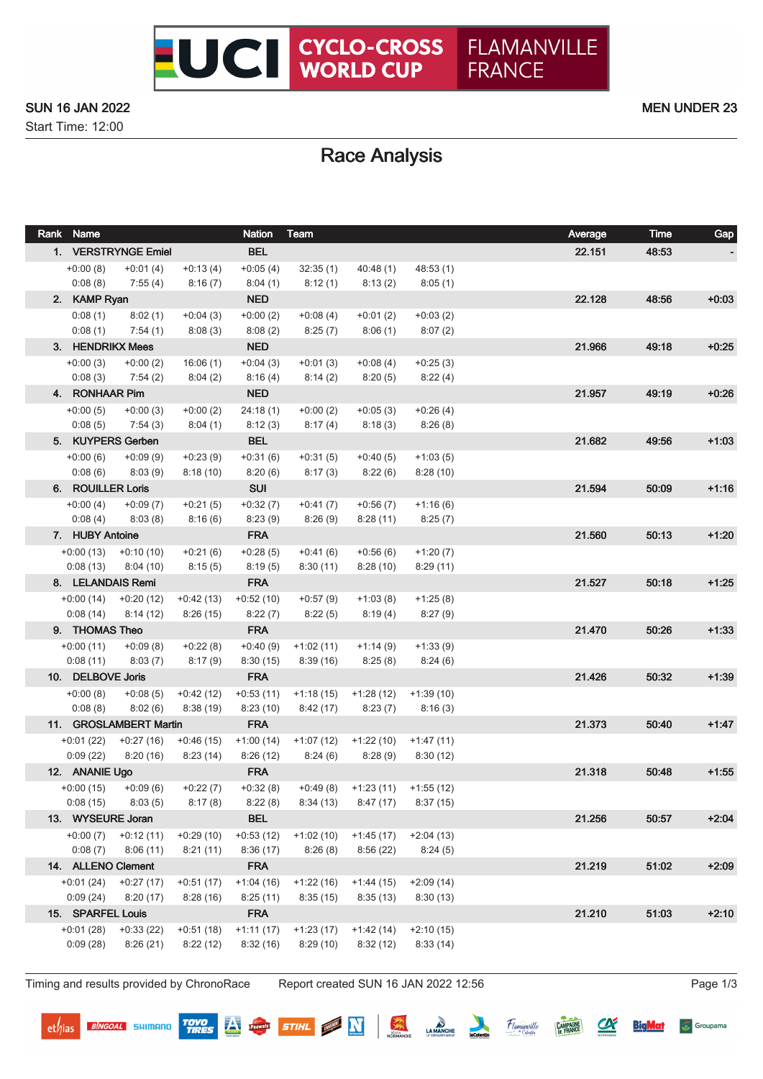### SUN 16 JAN 2022 **MEN UNDER 23**

Start Time: 12:00

# Race Analysis

| Rank Name               |                         |                       | <b>Nation</b>         | Team                   |                                    |                        | Average | <b>Time</b> | Gap     |
|-------------------------|-------------------------|-----------------------|-----------------------|------------------------|------------------------------------|------------------------|---------|-------------|---------|
| 1. VERSTRYNGE Emiel     |                         |                       | <b>BEL</b>            |                        |                                    |                        | 22.151  | 48:53       |         |
| $+0:00(8)$              | $+0:01(4)$              | $+0:13(4)$            | $+0.05(4)$            | 32:35(1)               | 40:48(1)                           | 48:53(1)               |         |             |         |
| 0:08(8)                 | 7:55(4)                 | 8:16(7)               | 8:04(1)               | 8:12(1)                | 8:13(2)                            | 8:05(1)                |         |             |         |
| 2. KAMP Ryan            |                         |                       | <b>NED</b>            |                        |                                    |                        | 22.128  | 48:56       | $+0.03$ |
| 0:08(1)                 | 8:02(1)                 | $+0:04(3)$            | $+0:00(2)$            | $+0.08(4)$             | $+0:01(2)$                         | $+0:03(2)$             |         |             |         |
| 0:08(1)                 | 7:54(1)                 | 8:08(3)               | 8:08(2)               | 8:25(7)                | 8:06(1)                            | 8:07(2)                |         |             |         |
| 3. HENDRIKX Mees        |                         |                       | <b>NED</b>            |                        |                                    |                        | 21.966  | 49:18       | $+0:25$ |
| $+0:00(3)$              | $+0:00(2)$              | 16:06(1)              | $+0:04(3)$            | $+0:01(3)$             | $+0.08(4)$                         | $+0:25(3)$             |         |             |         |
| 0:08(3)                 | 7:54(2)                 | 8:04(2)               | 8:16(4)               | 8:14(2)                | 8:20(5)                            | 8:22(4)                |         |             |         |
| 4. RONHAAR Pim          |                         |                       | <b>NED</b>            |                        |                                    |                        | 21.957  | 49:19       | $+0:26$ |
| $+0:00(5)$              | $+0:00(3)$              | $+0:00(2)$            | 24:18(1)              | $+0:00(2)$             | $+0:05(3)$                         | $+0:26(4)$             |         |             |         |
| 0:08(5)                 | 7:54(3)                 | 8:04(1)               | 8:12(3)               | 8:17(4)                | 8:18(3)                            | 8:26(8)                |         |             |         |
|                         | 5. KUYPERS Gerben       |                       | <b>BEL</b>            |                        |                                    |                        | 21.682  | 49:56       | $+1:03$ |
| $+0:00(6)$              | $+0.09(9)$              | $+0:23(9)$            | $+0:31(6)$            | $+0:31(5)$             | $+0:40(5)$                         | $+1:03(5)$             |         |             |         |
| 0:08(6)                 | 8:03(9)                 | 8:18(10)              | 8:20(6)               | 8:17(3)                | 8:22(6)                            | 8:28(10)               |         |             |         |
| 6. ROUILLER Loris       |                         |                       | <b>SUI</b>            |                        |                                    |                        | 21.594  | 50:09       | $+1:16$ |
| $+0.00(4)$              | $+0.09(7)$              | $+0:21(5)$            | $+0:32(7)$            | $+0:41(7)$             | $+0:56(7)$                         | $+1:16(6)$             |         |             |         |
| 0:08(4)                 | 8:03(8)                 | 8:16(6)               | 8:23(9)               | 8:26(9)                | 8:28(11)                           | 8:25(7)                |         |             |         |
| 7. HUBY Antoine         |                         |                       | <b>FRA</b>            |                        |                                    |                        | 21.560  | 50:13       | $+1:20$ |
| $+0:00(13)$<br>0:08(13) | $+0:10(10)$<br>8:04(10) | $+0:21(6)$<br>8:15(5) | $+0.28(5)$<br>8:19(5) | $+0:41(6)$<br>8:30(11) | $+0:56(6)$<br>8:28(10)             | $+1:20(7)$<br>8:29(11) |         |             |         |
| 8. LELANDAIS Remi       |                         |                       | <b>FRA</b>            |                        |                                    |                        | 21.527  | 50:18       | $+1:25$ |
| $+0:00(14)$             | $+0:20(12)$             | $+0.42(13)$           | $+0:52(10)$           | $+0.57(9)$             | $+1:03(8)$                         | $+1:25(8)$             |         |             |         |
| 0:08(14)                | 8:14(12)                | 8:26(15)              | 8:22(7)               | 8:22(5)                | 8:19(4)                            | 8:27(9)                |         |             |         |
| 9. THOMAS Theo          |                         |                       | <b>FRA</b>            |                        |                                    |                        | 21.470  | 50:26       | $+1:33$ |
| $+0:00(11)$             | $+0.09(8)$              | $+0:22(8)$            | $+0:40(9)$            | $+1:02(11)$            | $+1:14(9)$                         | $+1:33(9)$             |         |             |         |
| 0:08(11)                | 8:03(7)                 | 8:17(9)               | 8:30(15)              | 8:39(16)               | 8:25(8)                            | 8:24(6)                |         |             |         |
| 10. DELBOVE Joris       |                         |                       | <b>FRA</b>            |                        |                                    |                        | 21.426  | 50:32       | $+1:39$ |
| $+0:00(8)$              | $+0.08(5)$              | $+0:42(12)$           | $+0:53(11)$           | $+1:18(15)$            | +1:28 (12)                         | $+1:39(10)$            |         |             |         |
| 0:08(8)                 | 8:02(6)                 | 8:38(19)              | 8:23(10)              | 8:42 (17)              | 8:23(7)                            | 8:16(3)                |         |             |         |
|                         | 11. GROSLAMBERT Martin  |                       | <b>FRA</b>            |                        |                                    |                        | 21.373  | 50:40       | $+1:47$ |
| $+0:01(22)$             | $+0:27(16)$             | $+0.46(15)$           | $+1:00(14)$           | $+1:07(12)$            | $+1:22(10)$                        | $+1:47(11)$            |         |             |         |
| 0:09(22)                | 8:20(16)                | 8:23(14)              | 8:26(12)              | 8:24(6)                | 8:28(9)                            | 8:30(12)               |         |             |         |
| 12. ANANIE Ugo          |                         |                       | <b>FRA</b>            |                        |                                    |                        | 21.318  | 50:48       | $+1:55$ |
| $+0:00(15)$             | $+0.09(6)$              | $+0:22(7)$            | $+0.32(8)$            |                        | $+0.49(8)$ $+1.23(11)$ $+1.55(12)$ |                        |         |             |         |
| 0:08(15)                | 8:03(5)                 | 8:17(8)               | 8:22(8)               | 8:34(13)               | 8:47(17)                           | 8:37(15)               |         |             |         |
| 13. WYSEURE Joran       |                         |                       | <b>BEL</b>            |                        |                                    |                        | 21.256  | 50:57       | $+2:04$ |
| $+0:00(7)$              | $+0:12(11)$             | $+0.29(10)$           | $+0:53(12)$           | $+1:02(10)$            | $+1:45(17)$                        | $+2:04(13)$            |         |             |         |
| 0:08(7)                 | 8:06(11)                | 8:21(11)              | 8:36(17)              | 8:26(8)                | 8:56(22)                           | 8:24(5)                |         |             |         |
| 14. ALLENO Clement      |                         |                       | <b>FRA</b>            |                        |                                    |                        | 21.219  | 51:02       | $+2:09$ |
| $+0:01(24)$             | $+0:27(17)$             | $+0:51(17)$           | $+1:04(16)$           | $+1:22(16)$            | $+1:44(15)$                        | $+2:09(14)$            |         |             |         |
| 0:09(24)                | 8:20(17)                | 8:28(16)              | 8:25(11)              | 8:35(15)               | 8:35(13)                           | 8:30(13)               |         |             |         |
| 15. SPARFEL Louis       |                         |                       | <b>FRA</b>            |                        |                                    |                        | 21.210  | 51:03       | $+2:10$ |
| $+0:01(28)$             | $+0:33(22)$             | $+0:51(18)$           | $+1:11(17)$           | $+1:23(17)$            | $+1:42(14)$                        | $+2:10(15)$            |         |             |         |
| 0:09(28)                | 8:26(21)                | 8:22(12)              | 8:32(16)              | 8:29(10)               | 8:32(12)                           | 8:33(14)               |         |             |         |

Timing and results provided by ChronoRace Report created SUN 16 JAN 2022 12:56 Page 1/3

**BINGOAL** SHIMANO

**TOYO**<br>TIRES

Pauwels

深

STIHL **N** 

LA MANCHE

Flamanville

 $\alpha$ 

**BigMat** 

**CAMPAGNE** 

Groupama

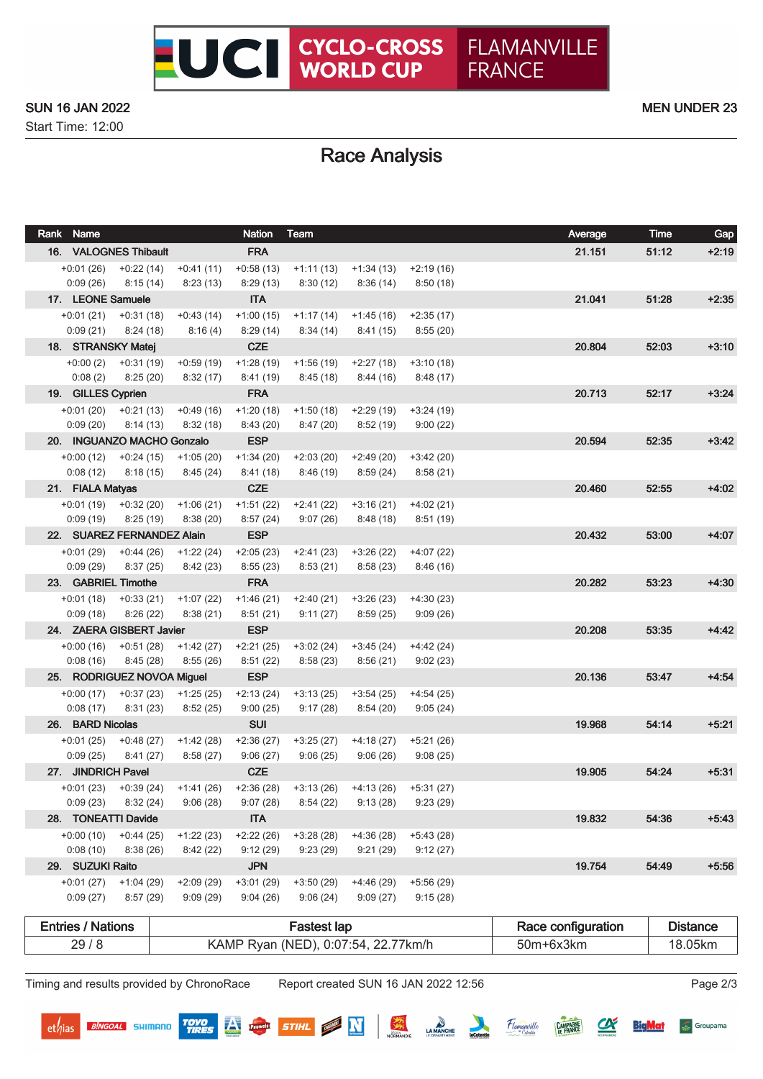Start Time: 12:00

# Race Analysis

| Rank Name                      |                                                 |             | <b>Nation</b>           | Team                                                                                                       |                                     |             | Average | Time  | Gap     |
|--------------------------------|-------------------------------------------------|-------------|-------------------------|------------------------------------------------------------------------------------------------------------|-------------------------------------|-------------|---------|-------|---------|
|                                | 16. VALOGNES Thibault                           |             | <b>FRA</b>              |                                                                                                            |                                     |             | 21.151  | 51:12 | $+2:19$ |
| $+0:01(26)$                    | $+0:22(14)$                                     | $+0:41(11)$ | $+0.58(13)$             | $+1:11(13)$                                                                                                | +1:34 (13)                          | $+2:19(16)$ |         |       |         |
| 0:09(26)                       | 8:15(14)                                        | 8:23(13)    | 8:29(13)                | 8:30 (12)                                                                                                  | 8:36 (14)                           | 8:50(18)    |         |       |         |
| 17. LEONE Samuele              |                                                 |             | <b>ITA</b>              |                                                                                                            |                                     |             | 21.041  | 51:28 | $+2:35$ |
| $+0:01(21)$                    | $+0:31(18)$                                     | $+0:43(14)$ | $+1:00(15)$             | $+1:17(14)$                                                                                                | +1:45 (16)                          | $+2:35(17)$ |         |       |         |
| 0:09(21)                       | 8:24(18)                                        | 8:16(4)     | 8:29(14)                | 8:34(14)                                                                                                   | 8:41 (15)                           | 8:55(20)    |         |       |         |
| 18. STRANSKY Matej             |                                                 |             | <b>CZE</b>              |                                                                                                            |                                     |             | 20.804  | 52:03 | $+3:10$ |
| $+0:00(2)$                     | +0:31 (19)                                      | $+0.59(19)$ | $+1:28(19)$             | +1:56 (19)                                                                                                 | +2:27 (18)                          | $+3:10(18)$ |         |       |         |
| 0:08(2)                        | 8:25 (20)                                       | 8:32(17)    | 8:41(19)                | 8:45 (18)                                                                                                  | 8:44 (16)                           | 8:48(17)    |         |       |         |
| 19. GILLES Cyprien             |                                                 |             | <b>FRA</b>              |                                                                                                            |                                     |             | 20.713  | 52:17 | $+3:24$ |
| 0:09(20)                       | $+0.01(20)$ $+0.21(13)$ $+0.49(16)$<br>8:14(13) | 8:32(18)    | $+1:20(18)$<br>8:43(20) | +1:50 (18)<br>8:47(20)                                                                                     | +2:29 (19)<br>8:52 (19)             | $+3:24(19)$ |         |       |         |
|                                | 20. INGUANZO MACHO Gonzalo                      |             | <b>ESP</b>              |                                                                                                            |                                     | 9:00(22)    | 20.594  | 52:35 | $+3:42$ |
|                                | $+0:00(12)$ $+0:24(15)$                         | +1:05 (20)  | $+1:34(20)$             | $+2:03(20)$                                                                                                | $+2:49(20)$                         | $+3:42(20)$ |         |       |         |
| 0:08(12)                       | 8:18(15)                                        | 8:45 (24)   | 8:41(18)                | 8:46 (19)                                                                                                  | 8:59 (24)                           | 8:58 (21)   |         |       |         |
| 21. FIALA Matyas               |                                                 |             | <b>CZE</b>              |                                                                                                            |                                     |             | 20.460  | 52:55 | $+4:02$ |
|                                | $+0.01(19)$ $+0.32(20)$                         | $+1:06(21)$ | $+1:51(22)$             | $+2:41(22)$                                                                                                | $+3:16(21)$                         | $+4:02(21)$ |         |       |         |
| 0:09(19)                       | 8:25(19)                                        | 8:38(20)    | 8:57(24)                | 9:07 (26)                                                                                                  | 8:48 (18)                           | 8:51(19)    |         |       |         |
|                                | 22. SUAREZ FERNANDEZ Alain                      |             | <b>ESP</b>              |                                                                                                            |                                     |             | 20.432  | 53:00 | $+4:07$ |
| $+0:01(29)$                    | $+0:44(26)$                                     | +1:22 (24)  | $+2:05(23)$             | +2:41 (23)                                                                                                 | +3:26 (22)                          | $+4:07(22)$ |         |       |         |
| 0:09(29)                       | 8:37(25)                                        | 8:42(23)    | 8:55(23)                | 8:53 (21)                                                                                                  | 8:58 (23)                           | 8:46(16)    |         |       |         |
| 23. GABRIEL Timothe            |                                                 |             | <b>FRA</b>              |                                                                                                            |                                     |             | 20.282  | 53:23 | $+4:30$ |
| +0:01 (18)                     | +0:33 (21)                                      | $+1:07(22)$ | $+1:46(21)$             | $+2:40(21)$                                                                                                | $+3:26(23)$                         | $+4:30(23)$ |         |       |         |
| 0:09(18)                       | 8:26(22)                                        | 8:38(21)    | 8:51(21)                | 9:11(27)                                                                                                   | 8:59(25)                            | 9:09(26)    |         |       |         |
|                                | 24. ZAERA GISBERT Javier                        |             | <b>ESP</b>              |                                                                                                            |                                     |             | 20.208  | 53:35 | $+4.42$ |
| $+0:00(16)$                    | $+0.51(28)$                                     | $+1:42(27)$ | $+2:21(25)$             | $+3:02(24)$                                                                                                | $+3:45(24)$                         | $+4:42(24)$ |         |       |         |
| 0:08(16)                       | 8:45(28)                                        | 8:55(26)    | 8:51(22)                | 8:58(23)                                                                                                   | 8:56 (21)                           | 9:02(23)    |         |       |         |
|                                | 25. RODRIGUEZ NOVOA Miguel                      |             | <b>ESP</b>              |                                                                                                            |                                     |             | 20.136  | 53:47 | $+4:54$ |
|                                | $+0.00(17)$ $+0.37(23)$ $+1.25(25)$             |             | $+2:13(24)$             | +3:13 (25)                                                                                                 | +3:54 (25)                          | +4:54 (25)  |         |       |         |
| 0:08(17)                       | 8:31(23)                                        | 8:52(25)    | 9:00(25)                | 9:17(28)                                                                                                   | 8:54 (20)                           | 9:05(24)    |         |       |         |
| 26. BARD Nicolas               |                                                 |             | <b>SUI</b>              |                                                                                                            |                                     |             | 19.968  | 54:14 | $+5:21$ |
|                                | $+0.01(25)$ $+0.48(27)$                         | $+1:42(28)$ | $+2:36(27)$             | $+3:25(27)$                                                                                                | +4:18 (27)                          | $+5:21(26)$ |         |       |         |
| 0:09(25)<br>27. JINDRICH Pavel | 8:41 (27)                                       | 8:58(27)    | 9:06(27)<br><b>CZE</b>  | 9:06(25)                                                                                                   | 9:06(26)                            | 9:08(25)    | 19.905  | 54:24 | $+5:31$ |
|                                | $+0.01(23)$ $+0.39(24)$ $+1.41(26)$             |             | $+2:36(28)$             |                                                                                                            | $+3:13(26)$ $+4:13(26)$ $+5:31(27)$ |             |         |       |         |
|                                |                                                 |             |                         | $0.09(23) \qquad 8.32(24) \qquad 9.06(28) \qquad 9.07(28) \qquad 8.54(22) \qquad 9.13(28) \qquad 9.23(29)$ |                                     |             |         |       |         |
| 28. TONEATTI Davide            |                                                 |             | <b>ITA</b>              |                                                                                                            |                                     |             | 19.832  | 54:36 | $+5:43$ |
| $+0:00(10)$                    | $+0:44(25)$                                     | $+1:22(23)$ | $+2:22(26)$             | $+3:28(28)$                                                                                                | $+4:36(28)$                         | $+5:43(28)$ |         |       |         |
| 0:08(10)                       | 8:38(26)                                        | 8:42(22)    | 9:12(29)                | 9:23(29)                                                                                                   | 9:21(29)                            | 9:12(27)    |         |       |         |
| 29. SUZUKI Raito               |                                                 |             | <b>JPN</b>              |                                                                                                            |                                     |             | 19.754  | 54:49 | $+5:56$ |
| $+0:01(27)$                    | $+1:04(29)$                                     | $+2:09(29)$ | $+3:01(29)$             | $+3:50(29)$                                                                                                | $+4:46(29)$                         | $+5:56(29)$ |         |       |         |
| 0:09(27)                       | 8:57(29)                                        | 9:09(29)    | 9:04(26)                | 9:06(24)                                                                                                   | 9:09(27)                            | 9:15(28)    |         |       |         |
|                                |                                                 |             |                         |                                                                                                            |                                     |             |         |       |         |

| Entries<br><b>Nations</b> | astest lap                                           | Race configuration | Jistance       |
|---------------------------|------------------------------------------------------|--------------------|----------------|
| 29/8                      | 0.07.54<br>22.77km/h<br>KAMP<br>INFI<br><b>R</b> yan | 50m+6.<br>∙3km     | $95$ kn.<br>ັບ |

Timing and results provided by ChronoRace Report created SUN 16 JAN 2022 12:56 Page 2/3

**TOYO**<br>TIRES

Pauwels

紫

STIHL **N** 

LA MANCHE

Flamanville

 $\alpha$ 

**BigMat** 

**CAMPAGNE** 

Groupama